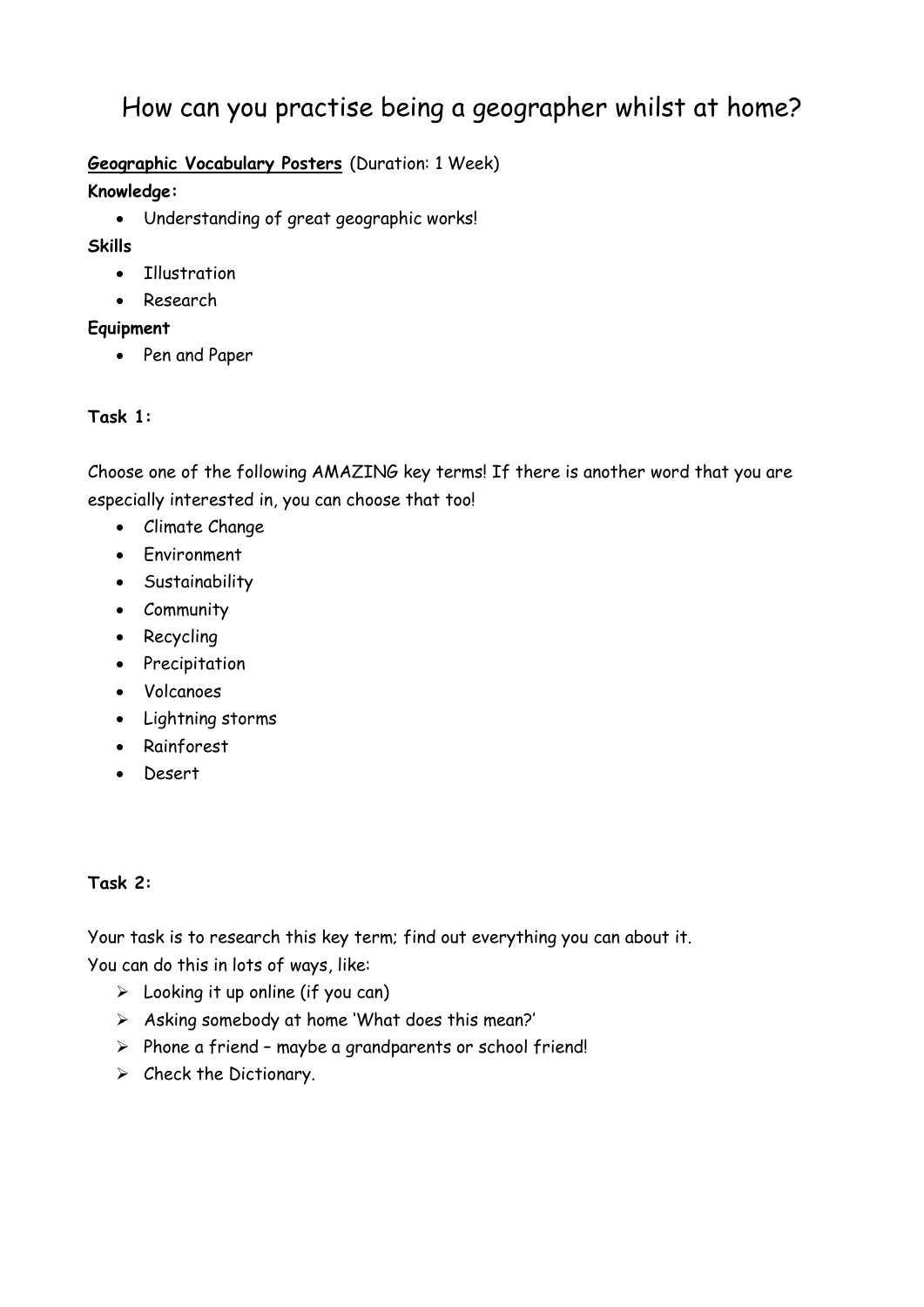# How can you practise being a geographer whilst at home?

### **Geographic Vocabulary Posters** (Duration: 1 Week)

#### **Knowledge:**

Understanding of great geographic works!

### **Skills**

- Illustration
- Research

### **Equipment**

• Pen and Paper

## **Task 1:**

Choose one of the following AMAZING key terms! If there is another word that you are especially interested in, you can choose that too!

- Climate Change
- Environment
- Sustainability
- Community
- Recycling
- Precipitation
- Volcanoes
- Lightning storms
- Rainforest
- Desert

### **Task 2:**

Your task is to research this key term; find out everything you can about it. You can do this in lots of ways, like:

- $\triangleright$  Looking it up online (if you can)
- $\triangleright$  Asking somebody at home 'What does this mean?'
- $\triangleright$  Phone a friend maybe a grandparents or school friend!
- $\triangleright$  Check the Dictionary.